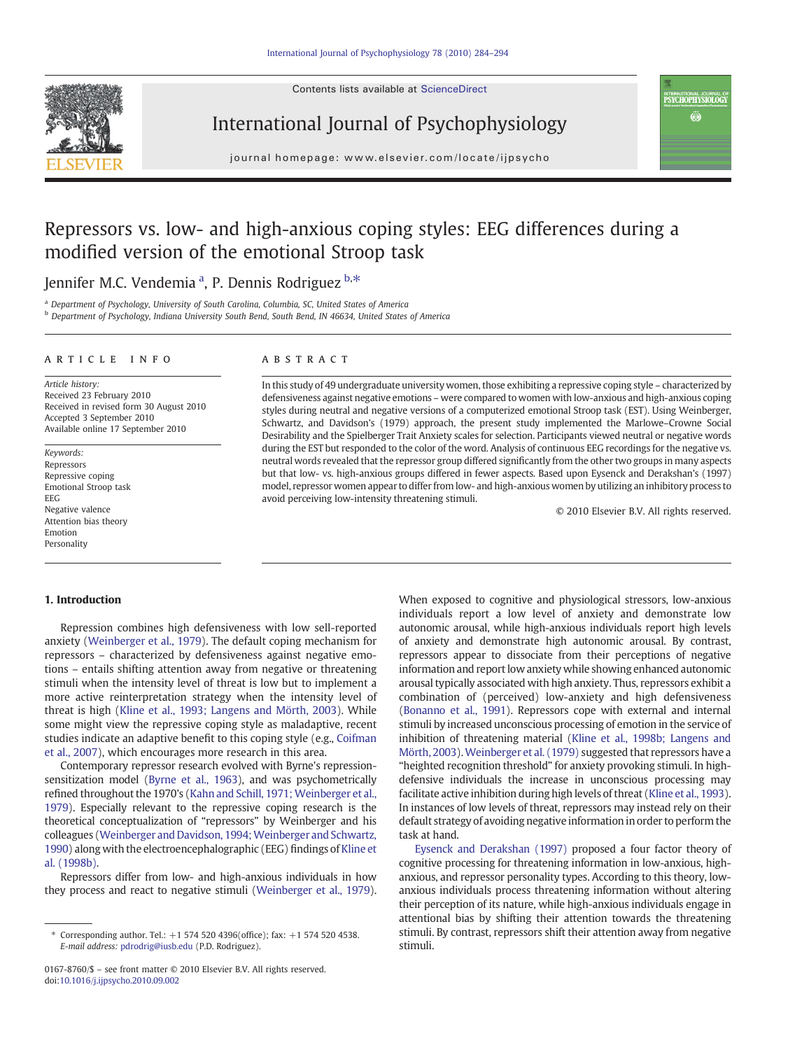Contents lists available at ScienceDirect





journal homepage: www.elsevier.com/locate/ijpsycho

## Repressors vs. low- and high-anxious coping styles: EEG differences during a modified version of the emotional Stroop task

## Jennifer M.C. Vendemia<sup>a</sup>, P. Dennis Rodriguez <sup>b,\*</sup>

<sup>a</sup> Department of Psychology, University of South Carolina, Columbia, SC, United States of America

b Department of Psychology, Indiana University South Bend, South Bend, IN 46634, United States of America

### article info abstract

Article history: Received 23 February 2010 Received in revised form 30 August 2010 Accepted 3 September 2010 Available online 17 September 2010

Keywords: Repressors Repressive coping Emotional Stroop task EEG Negative valence Attention bias theory Emotion Personality

In this study of 49 undergraduate university women, those exhibiting a repressive coping style – characterized by defensiveness against negative emotions – were compared to women with low-anxious and high-anxious coping styles during neutral and negative versions of a computerized emotional Stroop task (EST). Using Weinberger, Schwartz, and Davidson's (1979) approach, the present study implemented the Marlowe–Crowne Social Desirability and the Spielberger Trait Anxiety scales for selection. Participants viewed neutral or negative words during the EST but responded to the color of the word. Analysis of continuous EEG recordings for the negative vs. neutral words revealed that the repressor group differed significantly from the other two groups in many aspects but that low- vs. high-anxious groups differed in fewer aspects. Based upon Eysenck and Derakshan's (1997) model, repressor women appear to differ from low- and high-anxious women by utilizing an inhibitory process to avoid perceiving low-intensity threatening stimuli.

© 2010 Elsevier B.V. All rights reserved.

INTERNATIONAL JOURNAL O<br>**PSYCHOPHYSIOLOGY** Ġ.

### 1. Introduction

Repression combines high defensiveness with low sell-reported anxiety ([Weinberger et al., 1979](#page--1-0)). The default coping mechanism for repressors – characterized by defensiveness against negative emotions – entails shifting attention away from negative or threatening stimuli when the intensity level of threat is low but to implement a more active reinterpretation strategy when the intensity level of threat is high ([Kline et al., 1993; Langens and Mörth, 2003\)](#page--1-0). While some might view the repressive coping style as maladaptive, recent studies indicate an adaptive benefit to this coping style (e.g., [Coifman](#page--1-0) [et al., 2007\)](#page--1-0), which encourages more research in this area.

Contemporary repressor research evolved with Byrne's repressionsensitization model [\(Byrne et al., 1963\)](#page--1-0), and was psychometrically refined throughout the 1970's ([Kahn and Schill, 1971; Weinberger et al.,](#page--1-0) [1979\)](#page--1-0). Especially relevant to the repressive coping research is the theoretical conceptualization of "repressors" by Weinberger and his colleagues (Weinberger and Davidson, 1994; Weinberger and Schwartz, [1990\)](#page--1-0) along with the electroencephalographic (EEG) findings of [Kline et](#page--1-0) [al. \(1998b\).](#page--1-0)

Repressors differ from low- and high-anxious individuals in how they process and react to negative stimuli ([Weinberger et al., 1979\)](#page--1-0).

When exposed to cognitive and physiological stressors, low-anxious individuals report a low level of anxiety and demonstrate low autonomic arousal, while high-anxious individuals report high levels of anxiety and demonstrate high autonomic arousal. By contrast, repressors appear to dissociate from their perceptions of negative information and report low anxiety while showing enhanced autonomic arousal typically associated with high anxiety. Thus, repressors exhibit a combination of (perceived) low-anxiety and high defensiveness [\(Bonanno et al., 1991\)](#page--1-0). Repressors cope with external and internal stimuli by increased unconscious processing of emotion in the service of inhibition of threatening material [\(Kline et al., 1998b; Langens and](#page--1-0) [Mörth, 2003](#page--1-0)).[Weinberger et al. \(1979\)](#page--1-0) suggested that repressors have a "heighted recognition threshold" for anxiety provoking stimuli. In highdefensive individuals the increase in unconscious processing may facilitate active inhibition during high levels of threat ([Kline et al., 1993\)](#page--1-0). In instances of low levels of threat, repressors may instead rely on their default strategy of avoiding negative information in order to perform the task at hand.

[Eysenck and Derakshan \(1997\)](#page--1-0) proposed a four factor theory of cognitive processing for threatening information in low-anxious, highanxious, and repressor personality types. According to this theory, lowanxious individuals process threatening information without altering their perception of its nature, while high-anxious individuals engage in attentional bias by shifting their attention towards the threatening stimuli. By contrast, repressors shift their attention away from negative stimuli.

<sup>⁎</sup> Corresponding author. Tel.: +1 574 520 4396(office); fax: +1 574 520 4538. E-mail address: [pdrodrig@iusb.edu](mailto:pdrodrig@iusb.edu) (P.D. Rodriguez).

<sup>0167-8760/\$</sup> – see front matter © 2010 Elsevier B.V. All rights reserved. doi[:10.1016/j.ijpsycho.2010.09.002](http://dx.doi.org/10.1016/j.ijpsycho.2010.09.002)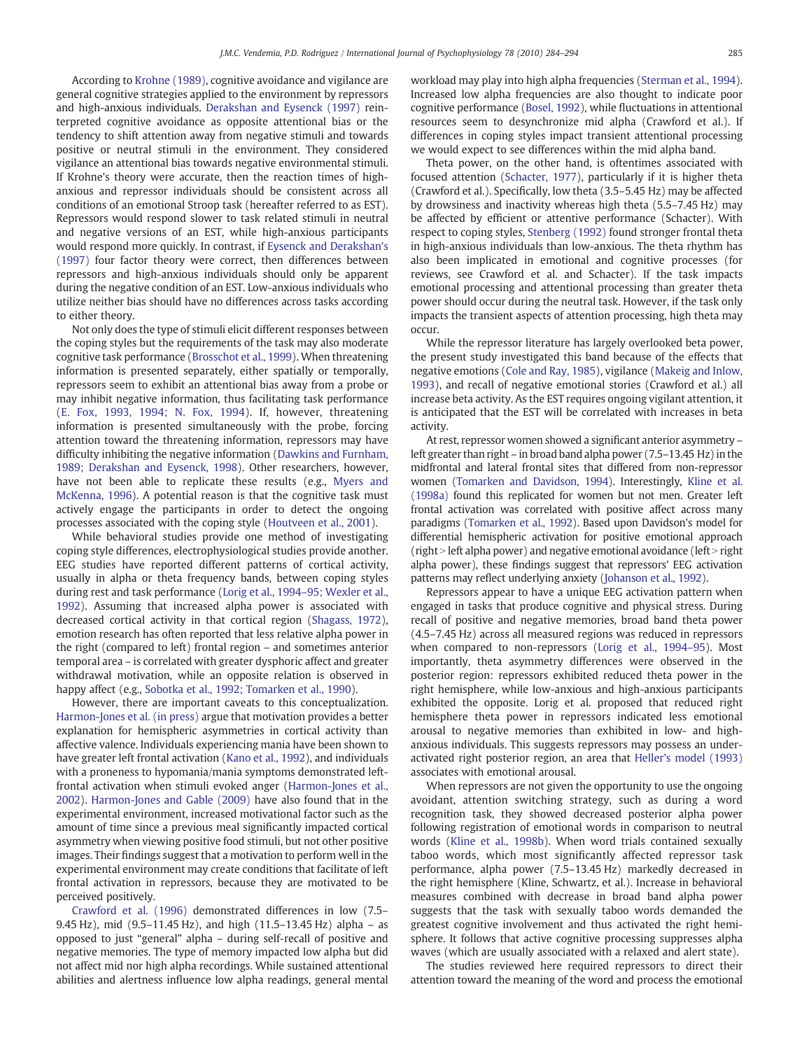According to [Krohne \(1989\),](#page--1-0) cognitive avoidance and vigilance are general cognitive strategies applied to the environment by repressors and high-anxious individuals. [Derakshan and Eysenck \(1997\)](#page--1-0) reinterpreted cognitive avoidance as opposite attentional bias or the tendency to shift attention away from negative stimuli and towards positive or neutral stimuli in the environment. They considered vigilance an attentional bias towards negative environmental stimuli. If Krohne's theory were accurate, then the reaction times of highanxious and repressor individuals should be consistent across all conditions of an emotional Stroop task (hereafter referred to as EST). Repressors would respond slower to task related stimuli in neutral and negative versions of an EST, while high-anxious participants would respond more quickly. In contrast, if [Eysenck and Derakshan's](#page--1-0) [\(1997\)](#page--1-0) four factor theory were correct, then differences between repressors and high-anxious individuals should only be apparent during the negative condition of an EST. Low-anxious individuals who utilize neither bias should have no differences across tasks according to either theory.

Not only does the type of stimuli elicit different responses between the coping styles but the requirements of the task may also moderate cognitive task performance [\(Brosschot et al., 1999\)](#page--1-0). When threatening information is presented separately, either spatially or temporally, repressors seem to exhibit an attentional bias away from a probe or may inhibit negative information, thus facilitating task performance [\(E. Fox, 1993, 1994; N. Fox, 1994](#page--1-0)). If, however, threatening information is presented simultaneously with the probe, forcing attention toward the threatening information, repressors may have difficulty inhibiting the negative information ([Dawkins and Furnham,](#page--1-0) [1989; Derakshan and Eysenck, 1998](#page--1-0)). Other researchers, however, have not been able to replicate these results (e.g., [Myers and](#page--1-0) [McKenna, 1996\)](#page--1-0). A potential reason is that the cognitive task must actively engage the participants in order to detect the ongoing processes associated with the coping style ([Houtveen et al., 2001\)](#page--1-0).

While behavioral studies provide one method of investigating coping style differences, electrophysiological studies provide another. EEG studies have reported different patterns of cortical activity, usually in alpha or theta frequency bands, between coping styles during rest and task performance (Lorig et al., 1994–[95; Wexler et al.,](#page--1-0) [1992\)](#page--1-0). Assuming that increased alpha power is associated with decreased cortical activity in that cortical region ([Shagass, 1972](#page--1-0)), emotion research has often reported that less relative alpha power in the right (compared to left) frontal region – and sometimes anterior temporal area – is correlated with greater dysphoric affect and greater withdrawal motivation, while an opposite relation is observed in happy affect (e.g., [Sobotka et al., 1992; Tomarken et al., 1990](#page--1-0)).

However, there are important caveats to this conceptualization. [Harmon-Jones et al. \(in press\)](#page--1-0) argue that motivation provides a better explanation for hemispheric asymmetries in cortical activity than affective valence. Individuals experiencing mania have been shown to have greater left frontal activation [\(Kano et al., 1992\)](#page--1-0), and individuals with a proneness to hypomania/mania symptoms demonstrated leftfrontal activation when stimuli evoked anger ([Harmon-Jones et al.,](#page--1-0) [2002\)](#page--1-0). [Harmon-Jones and Gable \(2009\)](#page--1-0) have also found that in the experimental environment, increased motivational factor such as the amount of time since a previous meal significantly impacted cortical asymmetry when viewing positive food stimuli, but not other positive images. Their findings suggest that a motivation to perform well in the experimental environment may create conditions that facilitate of left frontal activation in repressors, because they are motivated to be perceived positively.

[Crawford et al. \(1996\)](#page--1-0) demonstrated differences in low (7.5– 9.45 Hz), mid (9.5–11.45 Hz), and high (11.5–13.45 Hz) alpha – as opposed to just "general" alpha – during self-recall of positive and negative memories. The type of memory impacted low alpha but did not affect mid nor high alpha recordings. While sustained attentional abilities and alertness influence low alpha readings, general mental workload may play into high alpha frequencies ([Sterman et al., 1994](#page--1-0)). Increased low alpha frequencies are also thought to indicate poor cognitive performance [\(Bosel, 1992\)](#page--1-0), while fluctuations in attentional resources seem to desynchronize mid alpha (Crawford et al.). If differences in coping styles impact transient attentional processing we would expect to see differences within the mid alpha band.

Theta power, on the other hand, is oftentimes associated with focused attention ([Schacter, 1977\)](#page--1-0), particularly if it is higher theta (Crawford et al.). Specifically, low theta (3.5–5.45 Hz) may be affected by drowsiness and inactivity whereas high theta (5.5–7.45 Hz) may be affected by efficient or attentive performance (Schacter). With respect to coping styles, [Stenberg \(1992\)](#page--1-0) found stronger frontal theta in high-anxious individuals than low-anxious. The theta rhythm has also been implicated in emotional and cognitive processes (for reviews, see Crawford et al. and Schacter). If the task impacts emotional processing and attentional processing than greater theta power should occur during the neutral task. However, if the task only impacts the transient aspects of attention processing, high theta may occur.

While the repressor literature has largely overlooked beta power, the present study investigated this band because of the effects that negative emotions ([Cole and Ray, 1985](#page--1-0)), vigilance [\(Makeig and Inlow,](#page--1-0) [1993\)](#page--1-0), and recall of negative emotional stories (Crawford et al.) all increase beta activity. As the EST requires ongoing vigilant attention, it is anticipated that the EST will be correlated with increases in beta activity.

At rest, repressor women showed a significant anterior asymmetry – left greater than right – in broad band alpha power (7.5–13.45 Hz) in the midfrontal and lateral frontal sites that differed from non-repressor women [\(Tomarken and Davidson, 1994\)](#page--1-0). Interestingly, [Kline et al.](#page--1-0) [\(1998a\)](#page--1-0) found this replicated for women but not men. Greater left frontal activation was correlated with positive affect across many paradigms [\(Tomarken et al., 1992\)](#page--1-0). Based upon Davidson's model for differential hemispheric activation for positive emotional approach (right  $>$  left alpha power) and negative emotional avoidance (left  $>$  right alpha power), these findings suggest that repressors' EEG activation patterns may reflect underlying anxiety [\(Johanson et al., 1992](#page--1-0)).

Repressors appear to have a unique EEG activation pattern when engaged in tasks that produce cognitive and physical stress. During recall of positive and negative memories, broad band theta power (4.5–7.45 Hz) across all measured regions was reduced in repressors when compared to non-repressors [\(Lorig et al., 1994](#page--1-0)–95). Most importantly, theta asymmetry differences were observed in the posterior region: repressors exhibited reduced theta power in the right hemisphere, while low-anxious and high-anxious participants exhibited the opposite. Lorig et al. proposed that reduced right hemisphere theta power in repressors indicated less emotional arousal to negative memories than exhibited in low- and highanxious individuals. This suggests repressors may possess an underactivated right posterior region, an area that [Heller's model \(1993\)](#page--1-0) associates with emotional arousal.

When repressors are not given the opportunity to use the ongoing avoidant, attention switching strategy, such as during a word recognition task, they showed decreased posterior alpha power following registration of emotional words in comparison to neutral words ([Kline et al., 1998b](#page--1-0)). When word trials contained sexually taboo words, which most significantly affected repressor task performance, alpha power (7.5–13.45 Hz) markedly decreased in the right hemisphere (Kline, Schwartz, et al.). Increase in behavioral measures combined with decrease in broad band alpha power suggests that the task with sexually taboo words demanded the greatest cognitive involvement and thus activated the right hemisphere. It follows that active cognitive processing suppresses alpha waves (which are usually associated with a relaxed and alert state).

The studies reviewed here required repressors to direct their attention toward the meaning of the word and process the emotional